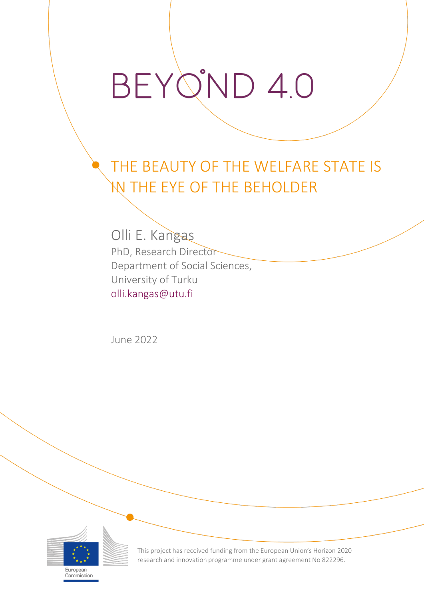## BEYQ'ND 4.0

## THE BEAUTY OF THE WELFARE STATE IS IN THE EYE OF THE BEHOLDER

Olli E. Kangas PhD, Research Director Department of Social Sciences, University of Turku [olli.kangas@utu.fi](mailto:olli.kangas@utu.fi)

June 2022



European Commission This project has received funding from the European Union's Horizon 2020 research and innovation programme under grant agreement No 822296.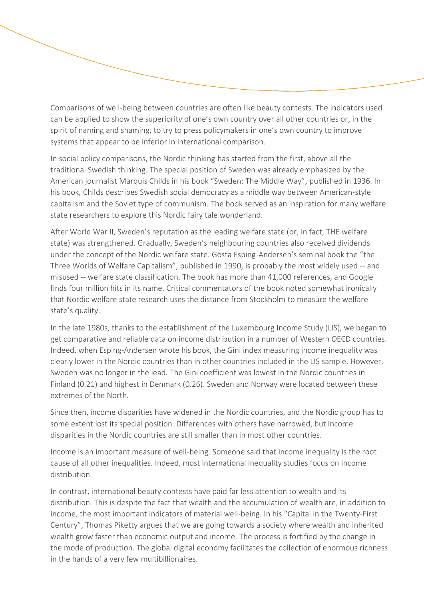Comparisons of well-being between countries are often like beauty contests. The indicators used can be applied to show the superiority of one's own country over all other countries or, in the spirit of naming and shaming, to try to press policymakers in one's own country to improve systems that appear to be inferior in international comparison.

In social policy comparisons, the Nordic thinking has started from the first, above all the traditional Swedish thinking. The special position of Sweden was already emphasized by the American journalist Marquis Childs in his book "Sweden: The Middle Way", published in 1936. In his book, Childs describes Swedish social democracy as a middle way between American-style capitalism and the Soviet type of communism. The book served as an inspiration for many welfare state researchers to explore this Nordic fairy tale wonderland.

After World War II, Sweden's reputation as the leading welfare state (or, in fact, THE welfare state) was strengthened. Gradually, Sweden's neighbouring countries also received dividends under the concept of the Nordic welfare state. Gösta Esping-Andersen's seminal book the "the Three Worlds of Welfare Capitalism", published in 1990, is probably the most widely used -- and misused -- welfare state classification. The book has more than 41,000 references, and Google finds four million hits in its name. Critical commentators of the book noted somewhat ironically that Nordic welfare state research uses the distance from Stockholm to measure the welfare state's quality.

In the late 1980s, thanks to the establishment of the Luxembourg Income Study (LIS), we began to get comparative and reliable data on income distribution in a number of Western OECD countries. Indeed, when Esping-Andersen wrote his book, the Gini index measuring income inequality was clearly lower in the Nordic countries than in other countries included in the LIS sample. However, Sweden was no longer in the lead. The Gini coefficient was lowest in the Nordic countries in Finland (0.21) and highest in Denmark (0.26). Sweden and Norway were located between these extremes of the North.

Since then, income disparities have widened in the Nordic countries, and the Nordic group has to some extent lost its special position. Differences with others have narrowed, but income disparities in the Nordic countries are still smaller than in most other countries.

Income is an important measure of well-being. Someone said that income inequality is the root cause of all other inequalities. Indeed, most international inequality studies focus on income distribution.

In contrast, international beauty contests have paid far less attention to wealth and its distribution. This is despite the fact that wealth and the accumulation of wealth are, in addition to income, the most important indicators of material well-being. In his "Capital in the Twenty-First Century", Thomas Piketty argues that we are going towards a society where wealth and inherited wealth grow faster than economic output and income. The process is fortified by the change in the mode of production. The global digital economy facilitates the collection of enormous richness in the hands of a very few multibillionaires.